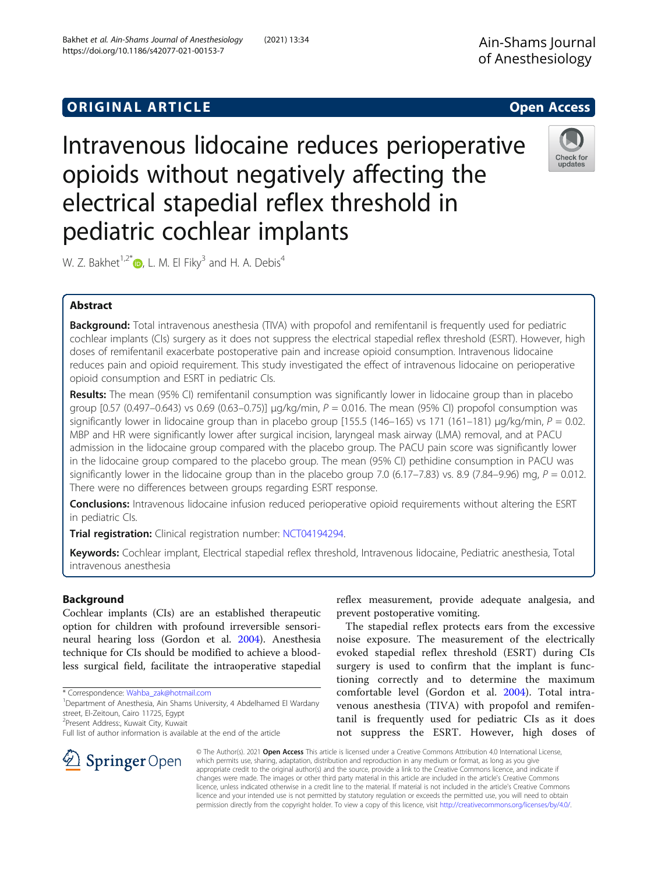# **ORIGINAL ARTICLE CONSERVANCE IN A LOCAL CONSERVANCE IN A LOCAL CONSERVANCE IN A LOCAL CONSERVANCE IN A LOCAL CONS**

Intravenous lidocaine reduces perioperative opioids without negatively affecting the electrical stapedial reflex threshold in pediatric cochlear implants

W. Z. Bakhet<sup>1,2[\\*](http://orcid.org/0000-0003-0938-0778)</sup>  $\bullet$ , L. M. El Fiky<sup>3</sup> and H. A. Debis<sup>4</sup>

# Abstract

Background: Total intravenous anesthesia (TIVA) with propofol and remifentanil is frequently used for pediatric cochlear implants (CIs) surgery as it does not suppress the electrical stapedial reflex threshold (ESRT). However, high doses of remifentanil exacerbate postoperative pain and increase opioid consumption. Intravenous lidocaine reduces pain and opioid requirement. This study investigated the effect of intravenous lidocaine on perioperative opioid consumption and ESRT in pediatric CIs.

Results: The mean (95% CI) remifentanil consumption was significantly lower in lidocaine group than in placebo group [0.57 (0.497–0.643) vs 0.69 (0.63–0.75)] μg/kg/min, P = 0.016. The mean (95% CI) propofol consumption was significantly lower in lidocaine group than in placebo group [155.5 (146–165) vs 171 (161–181)  $\mu$ g/kg/min, P = 0.02. MBP and HR were significantly lower after surgical incision, laryngeal mask airway (LMA) removal, and at PACU admission in the lidocaine group compared with the placebo group. The PACU pain score was significantly lower in the lidocaine group compared to the placebo group. The mean (95% CI) pethidine consumption in PACU was significantly lower in the lidocaine group than in the placebo group 7.0 (6.17–7.83) vs. 8.9 (7.84–9.96) mg,  $P = 0.012$ . There were no differences between groups regarding ESRT response.

Conclusions: Intravenous lidocaine infusion reduced perioperative opioid requirements without altering the ESRT in pediatric CIs.

Trial registration: Clinical registration number: [NCT04194294](https://clinicaltrials.gov/ct2/show/NCT04194294).

Keywords: Cochlear implant, Electrical stapedial reflex threshold, Intravenous lidocaine, Pediatric anesthesia, Total intravenous anesthesia

# Background

Cochlear implants (CIs) are an established therapeutic option for children with profound irreversible sensorineural hearing loss (Gordon et al. [2004](#page-6-0)). Anesthesia technique for CIs should be modified to achieve a bloodless surgical field, facilitate the intraoperative stapedial

\* Correspondence: [Wahba\\_zak@hotmail.com](mailto:Wahba_zak@hotmail.com) <sup>1</sup>

<sup>1</sup>Department of Anesthesia, Ain Shams University, 4 Abdelhamed El Wardany street, El-Zeitoun, Cairo 11725, Egypt

2 Present Address:, Kuwait City, Kuwait

SpringerOpen

reflex measurement, provide adequate analgesia, and prevent postoperative vomiting.

The stapedial reflex protects ears from the excessive noise exposure. The measurement of the electrically evoked stapedial reflex threshold (ESRT) during CIs surgery is used to confirm that the implant is functioning correctly and to determine the maximum comfortable level (Gordon et al. [2004\)](#page-6-0). Total intravenous anesthesia (TIVA) with propofol and remifentanil is frequently used for pediatric CIs as it does not suppress the ESRT. However, high doses of

© The Author(s). 2021 Open Access This article is licensed under a Creative Commons Attribution 4.0 International License, which permits use, sharing, adaptation, distribution and reproduction in any medium or format, as long as you give appropriate credit to the original author(s) and the source, provide a link to the Creative Commons licence, and indicate if changes were made. The images or other third party material in this article are included in the article's Creative Commons licence, unless indicated otherwise in a credit line to the material. If material is not included in the article's Creative Commons licence and your intended use is not permitted by statutory regulation or exceeds the permitted use, you will need to obtain permission directly from the copyright holder. To view a copy of this licence, visit <http://creativecommons.org/licenses/by/4.0/>.





Full list of author information is available at the end of the article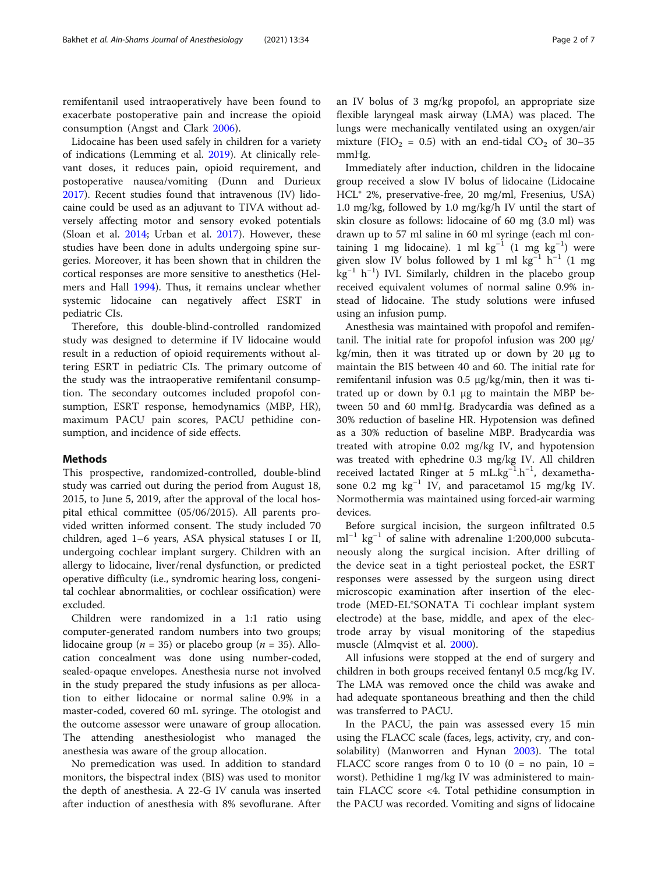remifentanil used intraoperatively have been found to exacerbate postoperative pain and increase the opioid consumption (Angst and Clark [2006\)](#page-5-0).

Lidocaine has been used safely in children for a variety of indications (Lemming et al. [2019](#page-6-0)). At clinically relevant doses, it reduces pain, opioid requirement, and postoperative nausea/vomiting (Dunn and Durieux [2017](#page-6-0)). Recent studies found that intravenous (IV) lidocaine could be used as an adjuvant to TIVA without adversely affecting motor and sensory evoked potentials (Sloan et al. [2014;](#page-6-0) Urban et al. [2017](#page-6-0)). However, these studies have been done in adults undergoing spine surgeries. Moreover, it has been shown that in children the cortical responses are more sensitive to anesthetics (Helmers and Hall [1994\)](#page-6-0). Thus, it remains unclear whether systemic lidocaine can negatively affect ESRT in pediatric CIs.

Therefore, this double-blind-controlled randomized study was designed to determine if IV lidocaine would result in a reduction of opioid requirements without altering ESRT in pediatric CIs. The primary outcome of the study was the intraoperative remifentanil consumption. The secondary outcomes included propofol consumption, ESRT response, hemodynamics (MBP, HR), maximum PACU pain scores, PACU pethidine consumption, and incidence of side effects.

### Methods

This prospective, randomized-controlled, double-blind study was carried out during the period from August 18, 2015, to June 5, 2019, after the approval of the local hospital ethical committee (05/06/2015). All parents provided written informed consent. The study included 70 children, aged 1–6 years, ASA physical statuses I or II, undergoing cochlear implant surgery. Children with an allergy to lidocaine, liver/renal dysfunction, or predicted operative difficulty (i.e., syndromic hearing loss, congenital cochlear abnormalities, or cochlear ossification) were excluded.

Children were randomized in a 1:1 ratio using computer-generated random numbers into two groups; lidocaine group (*n* = 35) or placebo group (*n* = 35). Allocation concealment was done using number-coded, sealed-opaque envelopes. Anesthesia nurse not involved in the study prepared the study infusions as per allocation to either lidocaine or normal saline 0.9% in a master-coded, covered 60 mL syringe. The otologist and the outcome assessor were unaware of group allocation. The attending anesthesiologist who managed the anesthesia was aware of the group allocation.

No premedication was used. In addition to standard monitors, the bispectral index (BIS) was used to monitor the depth of anesthesia. A 22-G IV canula was inserted after induction of anesthesia with 8% sevoflurane. After an IV bolus of 3 mg/kg propofol, an appropriate size flexible laryngeal mask airway (LMA) was placed. The lungs were mechanically ventilated using an oxygen/air mixture (FIO<sub>2</sub> = 0.5) with an end-tidal CO<sub>2</sub> of 30–35 mmHg.

Immediately after induction, children in the lidocaine group received a slow IV bolus of lidocaine (Lidocaine HCL® 2%, preservative-free, 20 mg/ml, Fresenius, USA) 1.0 mg/kg, followed by 1.0 mg/kg/h IV until the start of skin closure as follows: lidocaine of 60 mg (3.0 ml) was drawn up to 57 ml saline in 60 ml syringe (each ml containing 1 mg lidocaine). 1 ml kg<sup>-1</sup> (1 mg kg<sup>-1</sup>) were given slow IV bolus followed by 1 ml kg<sup>-1</sup> h<sup>-1</sup> (1 mg kg<sup>-1</sup> h<sup>-1</sup>) IVI. Similarly, children in the placebo group received equivalent volumes of normal saline 0.9% instead of lidocaine. The study solutions were infused using an infusion pump.

Anesthesia was maintained with propofol and remifentanil. The initial rate for propofol infusion was 200 μg/ kg/min, then it was titrated up or down by 20 μg to maintain the BIS between 40 and 60. The initial rate for remifentanil infusion was 0.5 μg/kg/min, then it was titrated up or down by 0.1 μg to maintain the MBP between 50 and 60 mmHg. Bradycardia was defined as a 30% reduction of baseline HR. Hypotension was defined as a 30% reduction of baseline MBP. Bradycardia was treated with atropine 0.02 mg/kg IV, and hypotension was treated with ephedrine 0.3 mg/kg IV. All children received lactated Ringer at 5 mL.kg<sup>-1</sup>.h<sup>-1</sup>, dexamethasone 0.2 mg kg<sup>-1</sup> IV, and paracetamol 15 mg/kg IV. Normothermia was maintained using forced-air warming devices.

Before surgical incision, the surgeon infiltrated 0.5  $ml^{-1}$  kg<sup>-1</sup> of saline with adrenaline 1:200,000 subcutaneously along the surgical incision. After drilling of the device seat in a tight periosteal pocket, the ESRT responses were assessed by the surgeon using direct microscopic examination after insertion of the electrode (MED-EL®SONATA Ti cochlear implant system electrode) at the base, middle, and apex of the electrode array by visual monitoring of the stapedius muscle (Almqvist et al. [2000\)](#page-5-0).

All infusions were stopped at the end of surgery and children in both groups received fentanyl 0.5 mcg/kg IV. The LMA was removed once the child was awake and had adequate spontaneous breathing and then the child was transferred to PACU.

In the PACU, the pain was assessed every 15 min using the FLACC scale (faces, legs, activity, cry, and consolability) (Manworren and Hynan [2003\)](#page-6-0). The total FLACC score ranges from 0 to 10 ( $0 = no$  pain, 10 = worst). Pethidine 1 mg/kg IV was administered to maintain FLACC score <4. Total pethidine consumption in the PACU was recorded. Vomiting and signs of lidocaine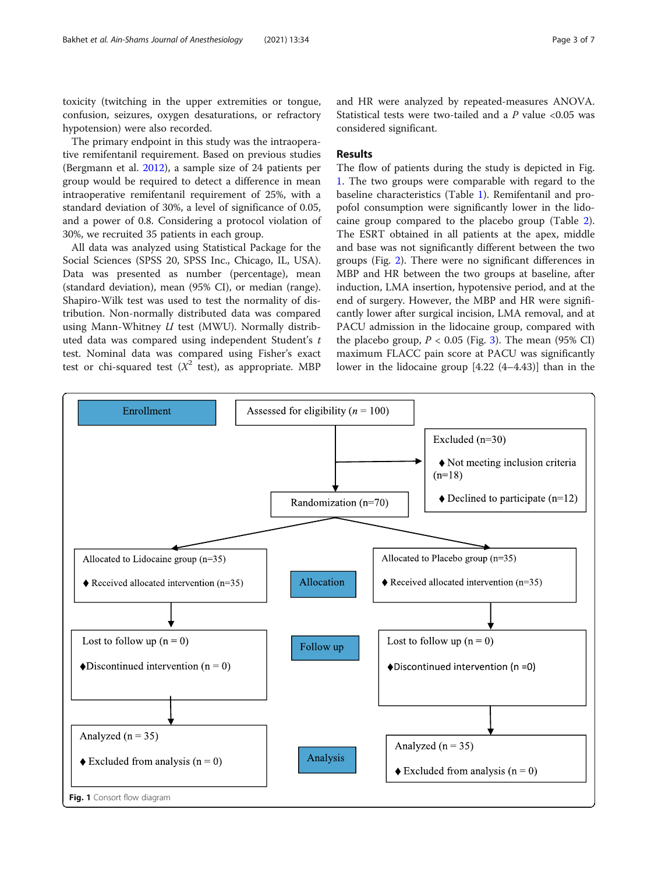toxicity (twitching in the upper extremities or tongue, confusion, seizures, oxygen desaturations, or refractory hypotension) were also recorded.

The primary endpoint in this study was the intraoperative remifentanil requirement. Based on previous studies (Bergmann et al. [2012\)](#page-5-0), a sample size of 24 patients per group would be required to detect a difference in mean intraoperative remifentanil requirement of 25%, with a standard deviation of 30%, a level of significance of 0.05, and a power of 0.8. Considering a protocol violation of 30%, we recruited 35 patients in each group.

All data was analyzed using Statistical Package for the Social Sciences (SPSS 20, SPSS Inc., Chicago, IL, USA). Data was presented as number (percentage), mean (standard deviation), mean (95% CI), or median (range). Shapiro-Wilk test was used to test the normality of distribution. Non-normally distributed data was compared using Mann-Whitney  $U$  test (MWU). Normally distributed data was compared using independent Student's t test. Nominal data was compared using Fisher's exact test or chi-squared test  $(X^2 \text{ test})$ , as appropriate. MBP and HR were analyzed by repeated-measures ANOVA. Statistical tests were two-tailed and a  $P$  value <0.05 was considered significant.

# Results

The flow of patients during the study is depicted in Fig. 1. The two groups were comparable with regard to the baseline characteristics (Table [1\)](#page-3-0). Remifentanil and propofol consumption were significantly lower in the lidocaine group compared to the placebo group (Table [2](#page-3-0)). The ESRT obtained in all patients at the apex, middle and base was not significantly different between the two groups (Fig. [2\)](#page-4-0). There were no significant differences in MBP and HR between the two groups at baseline, after induction, LMA insertion, hypotensive period, and at the end of surgery. However, the MBP and HR were significantly lower after surgical incision, LMA removal, and at PACU admission in the lidocaine group, compared with the placebo group,  $P < 0.05$  (Fig. [3](#page-4-0)). The mean (95% CI) maximum FLACC pain score at PACU was significantly lower in the lidocaine group [4.22 (4–4.43)] than in the

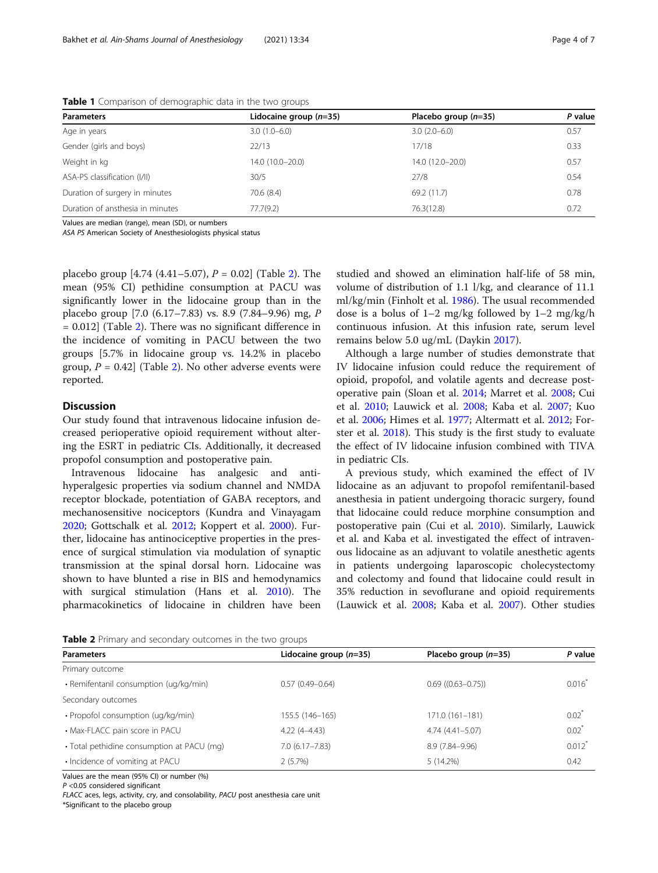| <b>Parameters</b>                | Lidocaine group $(n=35)$ | Placebo group $(n=35)$ | P value |
|----------------------------------|--------------------------|------------------------|---------|
| Age in years                     | $3.0(1.0-6.0)$           | $3.0(2.0-6.0)$         | 0.57    |
| Gender (girls and boys)          | 22/13                    | 17/18                  | 0.33    |
| Weight in kg                     | 14.0 (10.0-20.0)         | 14.0 (12.0-20.0)       | 0.57    |
| ASA-PS classification (I/II)     | 30/5                     | 27/8                   | 0.54    |
| Duration of surgery in minutes   | 70.6 (8.4)               | 69.2 (11.7)            | 0.78    |
| Duration of ansthesia in minutes | 77.7(9.2)                | 76.3(12.8)             | 0.72    |

<span id="page-3-0"></span>Table 1 Comparison of demographic data in the two groups

Values are median (range), mean (SD), or numbers

ASA PS American Society of Anesthesiologists physical status

placebo group [4.74 (4.41–5.07),  $P = 0.02$ ] (Table 2). The mean (95% CI) pethidine consumption at PACU was significantly lower in the lidocaine group than in the placebo group [7.0 (6.17–7.83) vs. 8.9 (7.84–9.96) mg, P = 0.012] (Table 2). There was no significant difference in the incidence of vomiting in PACU between the two groups [5.7% in lidocaine group vs. 14.2% in placebo group,  $P = 0.42$  (Table 2). No other adverse events were reported.

# **Discussion**

Our study found that intravenous lidocaine infusion decreased perioperative opioid requirement without altering the ESRT in pediatric CIs. Additionally, it decreased propofol consumption and postoperative pain.

Intravenous lidocaine has analgesic and antihyperalgesic properties via sodium channel and NMDA receptor blockade, potentiation of GABA receptors, and mechanosensitive nociceptors (Kundra and Vinayagam [2020](#page-6-0); Gottschalk et al. [2012](#page-6-0); Koppert et al. [2000](#page-6-0)). Further, lidocaine has antinociceptive properties in the presence of surgical stimulation via modulation of synaptic transmission at the spinal dorsal horn. Lidocaine was shown to have blunted a rise in BIS and hemodynamics with surgical stimulation (Hans et al. [2010\)](#page-6-0). The pharmacokinetics of lidocaine in children have been studied and showed an elimination half-life of 58 min, volume of distribution of 1.1 l/kg, and clearance of 11.1 ml/kg/min (Finholt et al. [1986](#page-6-0)). The usual recommended dose is a bolus of  $1-2$  mg/kg followed by  $1-2$  mg/kg/h continuous infusion. At this infusion rate, serum level remains below 5.0 ug/mL (Daykin [2017\)](#page-6-0).

Although a large number of studies demonstrate that IV lidocaine infusion could reduce the requirement of opioid, propofol, and volatile agents and decrease postoperative pain (Sloan et al. [2014](#page-6-0); Marret et al. [2008;](#page-6-0) Cui et al. [2010;](#page-6-0) Lauwick et al. [2008](#page-6-0); Kaba et al. [2007](#page-6-0); Kuo et al. [2006](#page-6-0); Himes et al. [1977;](#page-6-0) Altermatt et al. [2012;](#page-5-0) Forster et al. [2018\)](#page-6-0). This study is the first study to evaluate the effect of IV lidocaine infusion combined with TIVA in pediatric CIs.

A previous study, which examined the effect of IV lidocaine as an adjuvant to propofol remifentanil-based anesthesia in patient undergoing thoracic surgery, found that lidocaine could reduce morphine consumption and postoperative pain (Cui et al. [2010\)](#page-6-0). Similarly, Lauwick et al. and Kaba et al. investigated the effect of intravenous lidocaine as an adjuvant to volatile anesthetic agents in patients undergoing laparoscopic cholecystectomy and colectomy and found that lidocaine could result in 35% reduction in sevoflurane and opioid requirements (Lauwick et al. [2008;](#page-6-0) Kaba et al. [2007](#page-6-0)). Other studies

Table 2 Primary and secondary outcomes in the two groups

| <b>Parameters</b>                          | Lidocaine group $(n=35)$ | Placebo group $(n=35)$ | P value  |  |
|--------------------------------------------|--------------------------|------------------------|----------|--|
| Primary outcome                            |                          |                        |          |  |
| • Remifentanil consumption (ug/kg/min)     | $0.57(0.49 - 0.64)$      | $0.69$ ((0.63-0.75))   | 0.016    |  |
| Secondary outcomes                         |                          |                        |          |  |
| • Propofol consumption (ug/kg/min)         | 155.5 (146-165)          | 171.0 (161-181)        | $0.02^*$ |  |
| • Max-FLACC pain score in PACU             | $4.22(4 - 4.43)$         | $4.74(4.41 - 5.07)$    | $0.02^*$ |  |
| • Total pethidine consumption at PACU (mg) | $7.0(6.17 - 7.83)$       | 8.9 (7.84-9.96)        | 0.012    |  |
| • Incidence of vomiting at PACU            | 2(5.7%)                  | $5(14.2\%)$            | 0.42     |  |

Values are the mean (95% CI) or number (%)

P <0.05 considered significant

FLACC aces, legs, activity, cry, and consolability, PACU post anesthesia care unit

\*Significant to the placebo group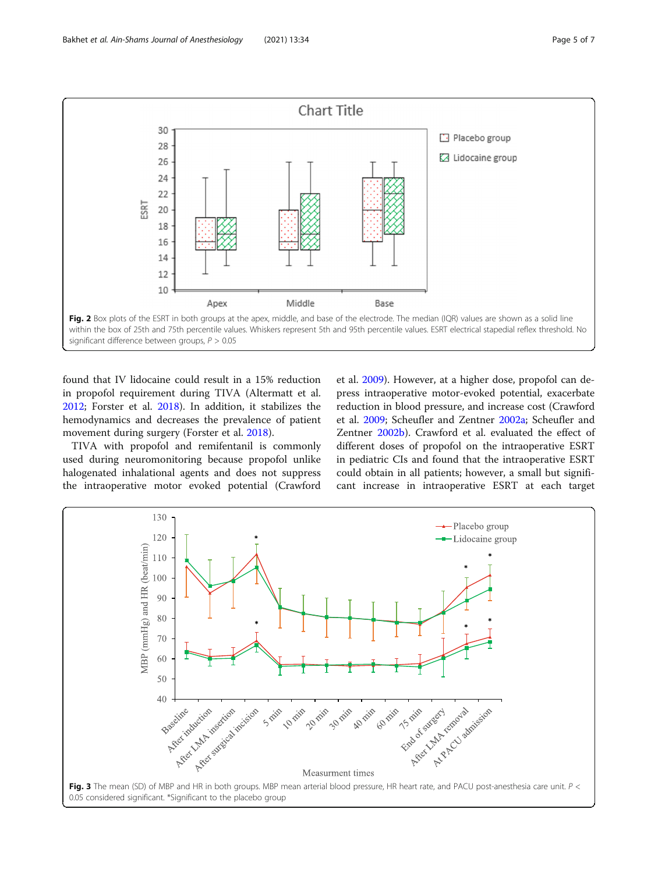<span id="page-4-0"></span>

found that IV lidocaine could result in a 15% reduction in propofol requirement during TIVA (Altermatt et al. [2012](#page-5-0); Forster et al. [2018](#page-6-0)). In addition, it stabilizes the hemodynamics and decreases the prevalence of patient movement during surgery (Forster et al. [2018\)](#page-6-0).

TIVA with propofol and remifentanil is commonly used during neuromonitoring because propofol unlike halogenated inhalational agents and does not suppress the intraoperative motor evoked potential (Crawford et al. [2009\)](#page-6-0). However, at a higher dose, propofol can depress intraoperative motor-evoked potential, exacerbate reduction in blood pressure, and increase cost (Crawford et al. [2009;](#page-6-0) Scheufler and Zentner [2002a;](#page-6-0) Scheufler and Zentner [2002b](#page-6-0)). Crawford et al. evaluated the effect of different doses of propofol on the intraoperative ESRT in pediatric CIs and found that the intraoperative ESRT could obtain in all patients; however, a small but significant increase in intraoperative ESRT at each target

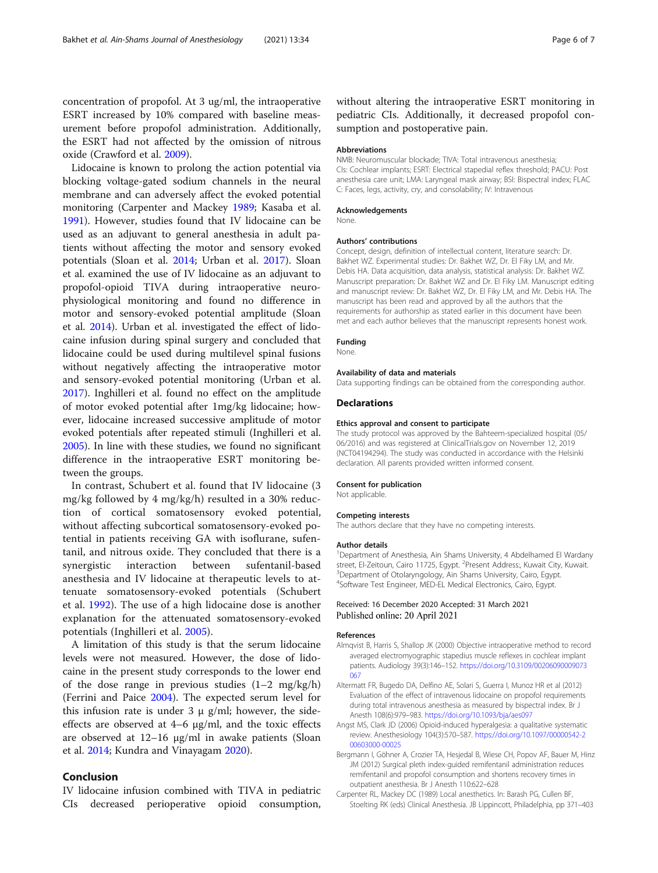<span id="page-5-0"></span>concentration of propofol. At 3 ug/ml, the intraoperative ESRT increased by 10% compared with baseline measurement before propofol administration. Additionally, the ESRT had not affected by the omission of nitrous oxide (Crawford et al. [2009](#page-6-0)).

Lidocaine is known to prolong the action potential via blocking voltage-gated sodium channels in the neural membrane and can adversely affect the evoked potential monitoring (Carpenter and Mackey 1989; Kasaba et al. [1991](#page-6-0)). However, studies found that IV lidocaine can be used as an adjuvant to general anesthesia in adult patients without affecting the motor and sensory evoked potentials (Sloan et al. [2014](#page-6-0); Urban et al. [2017](#page-6-0)). Sloan et al. examined the use of IV lidocaine as an adjuvant to propofol-opioid TIVA during intraoperative neurophysiological monitoring and found no difference in motor and sensory-evoked potential amplitude (Sloan et al. [2014\)](#page-6-0). Urban et al. investigated the effect of lidocaine infusion during spinal surgery and concluded that lidocaine could be used during multilevel spinal fusions without negatively affecting the intraoperative motor and sensory-evoked potential monitoring (Urban et al. [2017](#page-6-0)). Inghilleri et al. found no effect on the amplitude of motor evoked potential after 1mg/kg lidocaine; however, lidocaine increased successive amplitude of motor evoked potentials after repeated stimuli (Inghilleri et al. [2005](#page-6-0)). In line with these studies, we found no significant difference in the intraoperative ESRT monitoring between the groups.

In contrast, Schubert et al. found that IV lidocaine (3 mg/kg followed by 4 mg/kg/h) resulted in a 30% reduction of cortical somatosensory evoked potential, without affecting subcortical somatosensory-evoked potential in patients receiving GA with isoflurane, sufentanil, and nitrous oxide. They concluded that there is a synergistic interaction between sufentanil-based anesthesia and IV lidocaine at therapeutic levels to attenuate somatosensory-evoked potentials (Schubert et al. [1992](#page-6-0)). The use of a high lidocaine dose is another explanation for the attenuated somatosensory-evoked potentials (Inghilleri et al. [2005](#page-6-0)).

A limitation of this study is that the serum lidocaine levels were not measured. However, the dose of lidocaine in the present study corresponds to the lower end of the dose range in previous studies  $(1-2 \text{ mg/kg/h})$ (Ferrini and Paice [2004](#page-6-0)). The expected serum level for this infusion rate is under  $3 \mu$  g/ml; however, the sideeffects are observed at 4–6 μg/ml, and the toxic effects are observed at 12–16 μg/ml in awake patients (Sloan et al. [2014;](#page-6-0) Kundra and Vinayagam [2020](#page-6-0)).

# Conclusion

IV lidocaine infusion combined with TIVA in pediatric CIs decreased perioperative opioid consumption,

without altering the intraoperative ESRT monitoring in pediatric CIs. Additionally, it decreased propofol consumption and postoperative pain.

#### Abbreviations

NMB: Neuromuscular blockade; TIVA: Total intravenous anesthesia; CIs: Cochlear implants; ESRT: Electrical stapedial reflex threshold; PACU: Post anesthesia care unit; LMA: Laryngeal mask airway; BSI: Bispectral index; FLAC C: Faces, legs, activity, cry, and consolability; IV: Intravenous

#### Acknowledgements

None.

#### Authors' contributions

Concept, design, definition of intellectual content, literature search: Dr. Bakhet WZ. Experimental studies: Dr. Bakhet WZ, Dr. El Fiky LM, and Mr. Debis HA. Data acquisition, data analysis, statistical analysis: Dr. Bakhet WZ. Manuscript preparation: Dr. Bakhet WZ and Dr. El Fiky LM. Manuscript editing and manuscript review: Dr. Bakhet WZ, Dr. El Fiky LM, and Mr. Debis HA. The manuscript has been read and approved by all the authors that the requirements for authorship as stated earlier in this document have been met and each author believes that the manuscript represents honest work.

#### Funding

None.

### Availability of data and materials

Data supporting findings can be obtained from the corresponding author.

### Declarations

#### Ethics approval and consent to participate

The study protocol was approved by the Bahteem-specialized hospital (05/ 06/2016) and was registered at ClinicalTrials.gov on November 12, 2019 (NCT04194294). The study was conducted in accordance with the Helsinki declaration. All parents provided written informed consent.

#### Consent for publication

Not applicable.

#### Competing interests

The authors declare that they have no competing interests.

#### Author details

<sup>1</sup>Department of Anesthesia, Ain Shams University, 4 Abdelhamed El Wardany street, El-Zeitoun, Cairo 11725, Egypt. <sup>2</sup>Present Address:, Kuwait City, Kuwait.<br><sup>3</sup>Department of Otolanmaglogy, Ain Shams University Cairo Fount. <sup>3</sup> Department of Otolaryngology, Ain Shams University, Cairo, Egypt. 4 Software Test Engineer, MED-EL Medical Electronics, Cairo, Egypt.

#### Received: 16 December 2020 Accepted: 31 March 2021 Published online: 20 April 2021

#### References

- Almqvist B, Harris S, Shallop JK (2000) Objective intraoperative method to record averaged electromyographic stapedius muscle reflexes in cochlear implant patients. Audiology 39(3):146–152. [https://doi.org/10.3109/00206090009073](https://doi.org/10.3109/00206090009073067) [067](https://doi.org/10.3109/00206090009073067)
- Altermatt FR, Bugedo DA, Delfino AE, Solari S, Guerra I, Munoz HR et al (2012) Evaluation of the effect of intravenous lidocaine on propofol requirements during total intravenous anesthesia as measured by bispectral index. Br J Anesth 108(6):979–983. <https://doi.org/10.1093/bja/aes097>
- Angst MS, Clark JD (2006) Opioid-induced hyperalgesia: a qualitative systematic review. Anesthesiology 104(3):570–587. [https://doi.org/10.1097/00000542-2](https://doi.org/10.1097/00000542-200603000-00025) [00603000-00025](https://doi.org/10.1097/00000542-200603000-00025)
- Bergmann I, Göhner A, Crozier TA, Hesjedal B, Wiese CH, Popov AF, Bauer M, Hinz JM (2012) Surgical pleth index-guided remifentanil administration reduces remifentanil and propofol consumption and shortens recovery times in outpatient anesthesia. Br J Anesth 110:622–628
- Carpenter RL, Mackey DC (1989) Local anesthetics. In: Barash PG, Cullen BF, Stoelting RK (eds) Clinical Anesthesia. JB Lippincott, Philadelphia, pp 371–403